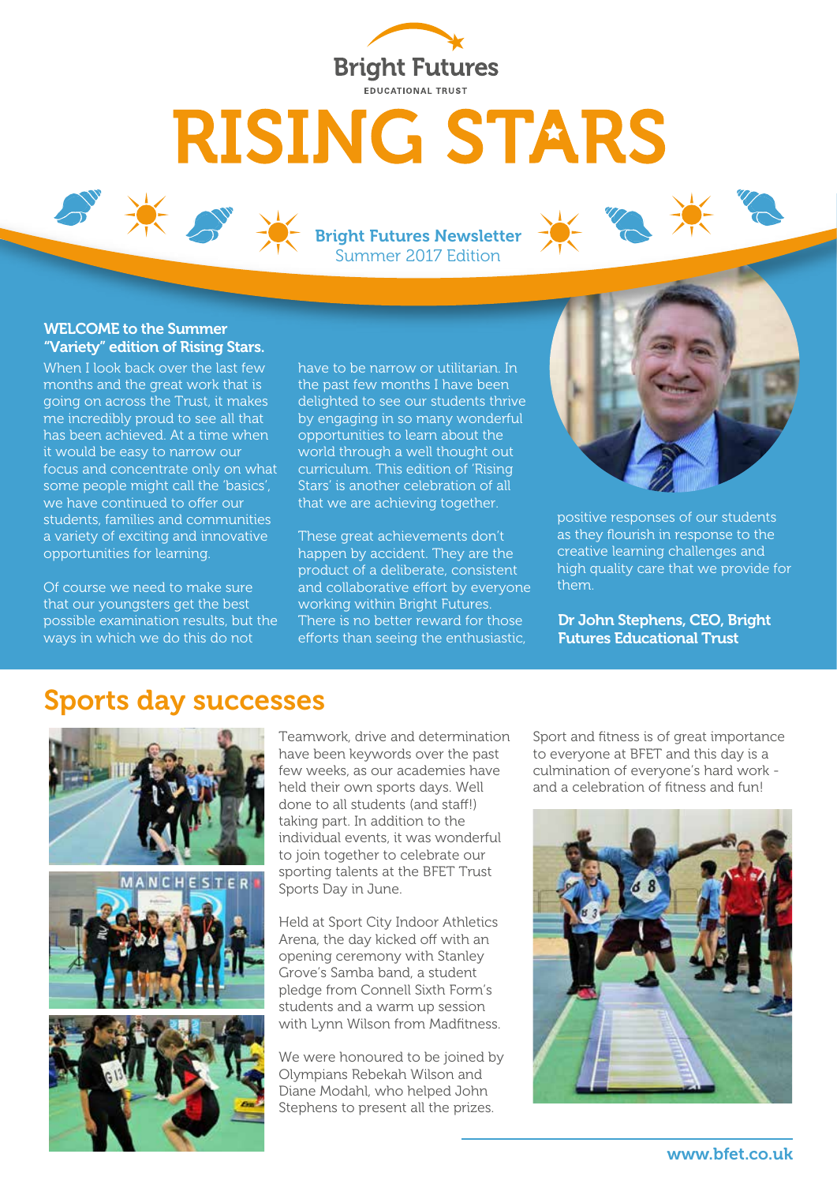

# **RISING STARS**

Bright Futures Newsletter Summer 2017 Edition

#### WELCOME to the Summer "Variety" edition of Rising Stars.

When I look back over the last few months and the great work that is going on across the Trust, it makes me incredibly proud to see all that has been achieved. At a time when it would be easy to narrow our focus and concentrate only on what some people might call the 'basics', we have continued to offer our students, families and communities a variety of exciting and innovative opportunities for learning.

Of course we need to make sure that our youngsters get the best possible examination results, but the ways in which we do this do not

have to be narrow or utilitarian. In the past few months I have been delighted to see our students thrive by engaging in so many wonderful opportunities to learn about the world through a well thought out curriculum. This edition of 'Rising Stars' is another celebration of all that we are achieving together.

These great achievements don't happen by accident. They are the product of a deliberate, consistent and collaborative effort by everyone working within Bright Futures. There is no better reward for those efforts than seeing the enthusiastic,



positive responses of our students as they flourish in response to the creative learning challenges and high quality care that we provide for them.

Dr John Stephens, CEO, Bright Futures Educational Trust

#### Sports day successes



Teamwork, drive and determination have been keywords over the past few weeks, as our academies have held their own sports days. Well done to all students (and staff!) taking part. In addition to the individual events, it was wonderful to join together to celebrate our sporting talents at the BFET Trust Sports Day in June.

Held at Sport City Indoor Athletics Arena, the day kicked off with an opening ceremony with Stanley Grove's Samba band, a student pledge from Connell Sixth Form's students and a warm up session with Lynn Wilson from Madfitness.

We were honoured to be joined by Olympians Rebekah Wilson and Diane Modahl, who helped John Stephens to present all the prizes.

Sport and fitness is of great importance to everyone at BFET and this day is a culmination of everyone's hard work and a celebration of fitness and fun!

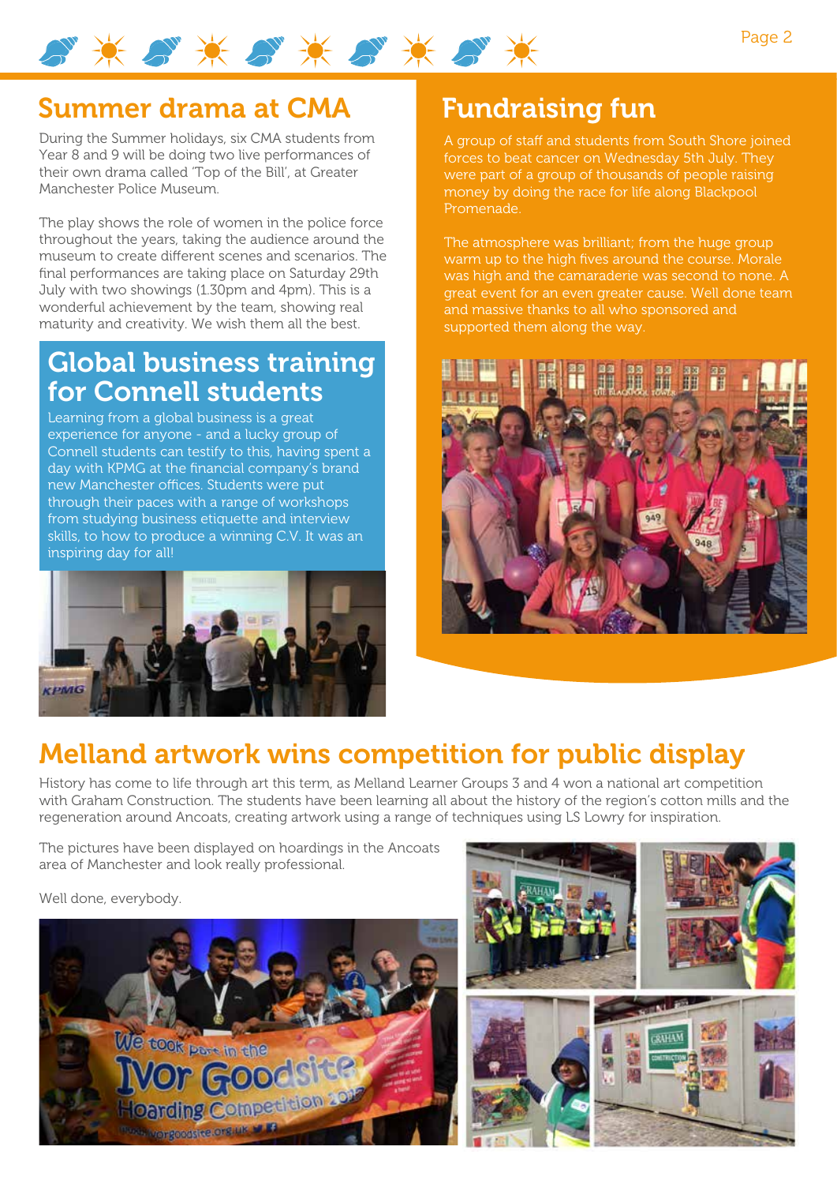

#### Summer drama at CMA

During the Summer holidays, six CMA students from Year 8 and 9 will be doing two live performances of their own drama called 'Top of the Bill', at Greater Manchester Police Museum.

The play shows the role of women in the police force throughout the years, taking the audience around the museum to create different scenes and scenarios. The final performances are taking place on Saturday 29th July with two showings (1.30pm and 4pm). This is a wonderful achievement by the team, showing real maturity and creativity. We wish them all the best.

#### Global business training for Connell students

Learning from a global business is a great experience for anyone - and a lucky group of Connell students can testify to this, having spent a day with KPMG at the financial company's brand new Manchester offices. Students were put through their paces with a range of workshops from studying business etiquette and interview skills, to how to produce a winning C.V. It was an inspiring day for all!



## Fundraising fun

A group of staff and students from South Shore joined forces to beat cancer on Wednesday 5th July. They were part of a group of thousands of people raising money by doing the race for life along Blackpool Promenade.

The atmosphere was brilliant; from the huge group warm up to the high fives around the course. Morale was high and the camaraderie was second to none. A great event for an even greater cause. Well done team and massive thanks to all who sponsored and supported them along the way.



### Melland artwork wins competition for public display

History has come to life through art this term, as Melland Learner Groups 3 and 4 won a national art competition with Graham Construction. The students have been learning all about the history of the region's cotton mills and the regeneration around Ancoats, creating artwork using a range of techniques using LS Lowry for inspiration.

The pictures have been displayed on hoardings in the Ancoats area of Manchester and look really professional.

Well done, everybody.



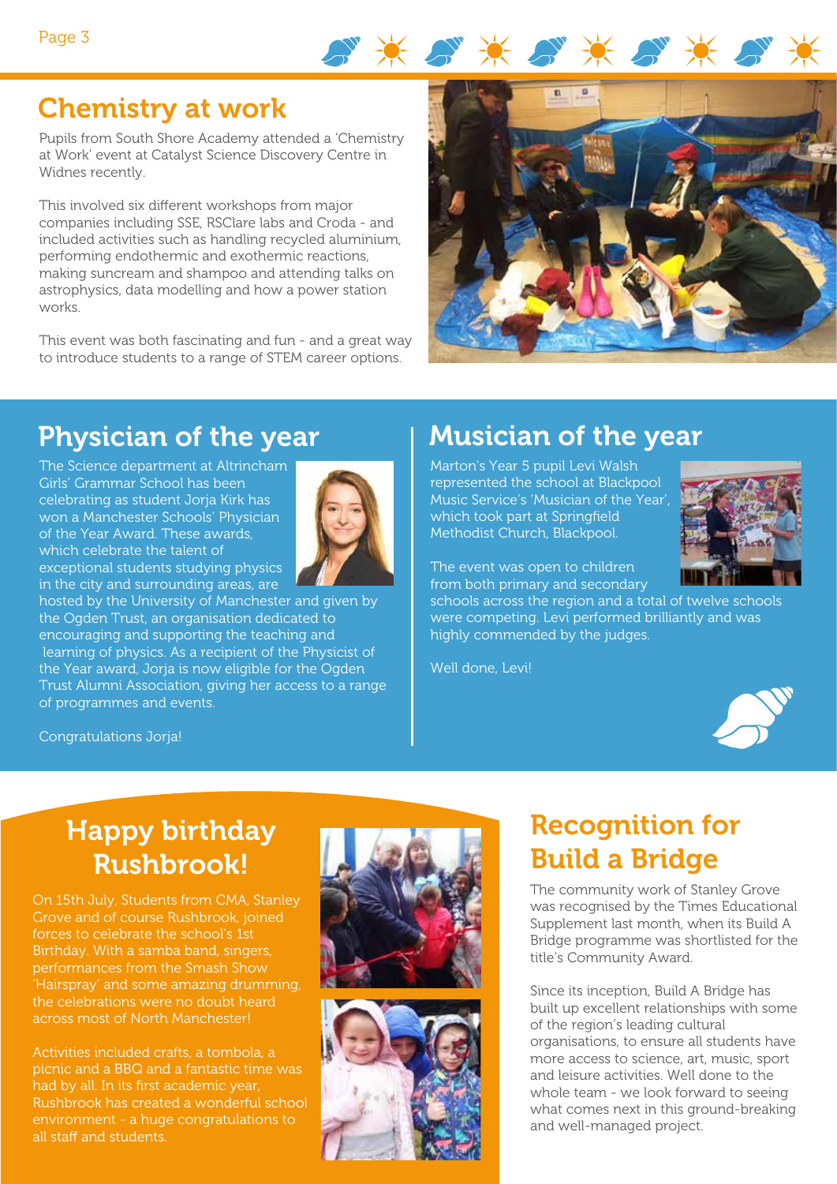

# Chemistry at work

Pupils from South Shore Academy attended a 'Chemistry at Work' event at Catalyst Science Discovery Centre in Widnes recently.

This involved six different workshops from major companies including SSE, RSClare labs and Croda - and included activities such as handling recycled aluminium, performing endothermic and exothermic reactions, making suncream and shampoo and attending talks on astrophysics, data modelling and how a power station works.

This event was both fascinating and fun - and a great way to introduce students to a range of STEM career options.



# Physician of the year

The Science department at Altrincham Girls' Grammar School has been celebrating as student Jorja Kirk has won a Manchester Schools' Physician of the Year Award. These awards, which celebrate the talent of exceptional students studying physics in the city and surrounding areas, are



hosted by the University of Manchester and given by the Ogden Trust, an organisation dedicated to encouraging and supporting the teaching and learning of physics. As a recipient of the Physicist of the Year award, Jorja is now eligible for the Ogden Trust Alumni Association, giving her access to a range of programmes and events.

# Musician of the year

Marton's Year 5 pupil Levi Walsh represented the school at Blackpool Music Service's 'Musician of the Year', which took part at Springfield Methodist Church, Blackpool.



The event was open to children from both primary and secondary

schools across the region and a total of twelve schools were competing. Levi performed brilliantly and was highly commended by the judges.

Well done, Levi!



## Happy birthday Rushbrook!

Congratulations Jorja!

On 15th July, Students from CMA, Stanley Grove and of course Rushbrook, joined forces to celebrate the school's 1st Birthday. With a samba band, singers, performances from the Smash Show 'Hairspray' and some amazing drumming, the celebrations were no doubt heard across most of North Manchester!

Activities included crafts, a tombola, a picnic and a BBQ and a fantastic time was had by all. In its first academic year, Rushbrook has created a wonderful school environment - a huge congratulations to all staff and students.



# Recognition for Build a Bridge

The community work of Stanley Grove was recognised by the Times Educational Supplement last month, when its Build A Bridge programme was shortlisted for the title's Community Award.

Since its inception, Build A Bridge has built up excellent relationships with some of the region's leading cultural organisations, to ensure all students have more access to science, art, music, sport and leisure activities. Well done to the whole team - we look forward to seeing what comes next in this ground-breaking and well-managed project.